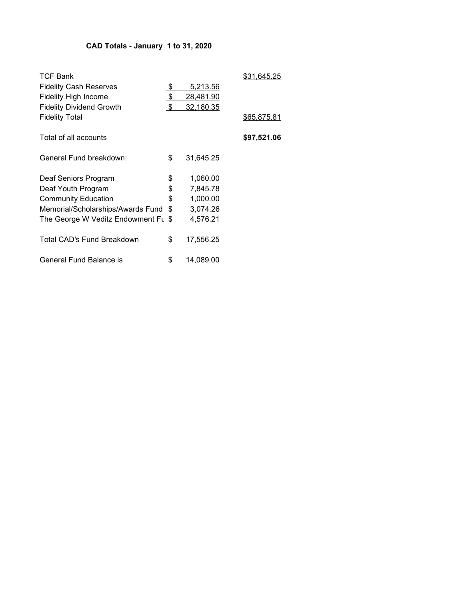### CAD Totals - January 1 to 31, 2020

| <b>TCF Bank</b>                     |                    |                 | \$31.645.25 |
|-------------------------------------|--------------------|-----------------|-------------|
| <b>Fidelity Cash Reserves</b>       | <u>\$</u>          | <u>5,213.56</u> |             |
| <b>Fidelity High Income</b>         | $\frac{1}{2}$      | 28,481.90       |             |
| <b>Fidelity Dividend Growth</b>     | $\mathbf{\hat{S}}$ | 32,180.35       |             |
| <b>Fidelity Total</b>               |                    |                 | \$65,875.81 |
| Total of all accounts               |                    |                 | \$97,521.06 |
| General Fund breakdown:             | \$                 | 31,645.25       |             |
| Deaf Seniors Program                | \$                 | 1,060.00        |             |
| Deaf Youth Program                  | \$                 | 7,845.78        |             |
| <b>Community Education</b>          | \$                 | 1,000.00        |             |
| Memorial/Scholarships/Awards Fund   | \$                 | 3,074.26        |             |
| The George W Veditz Endowment Ft \$ |                    | 4,576.21        |             |
| Total CAD's Fund Breakdown          | \$                 | 17,556.25       |             |
| General Fund Balance is             | \$                 | 14,089.00       |             |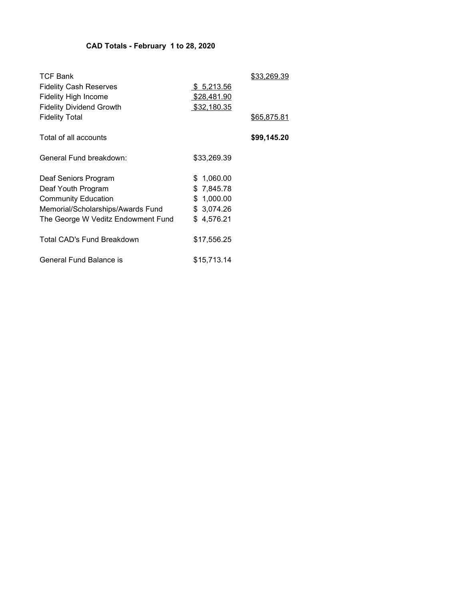# CAD Totals - February 1 to 28, 2020

| <b>TCF Bank</b>                    |             | <u>\$33,269.39</u> |
|------------------------------------|-------------|--------------------|
| <b>Fidelity Cash Reserves</b>      | \$ 5,213.56 |                    |
| Fidelity High Income               | \$28,481.90 |                    |
| <b>Fidelity Dividend Growth</b>    | \$32,180.35 |                    |
| <b>Fidelity Total</b>              |             | <u>\$65,875.81</u> |
| Total of all accounts              |             | \$99,145.20        |
| General Fund breakdown:            | \$33,269.39 |                    |
| Deaf Seniors Program               | \$1,060.00  |                    |
| Deaf Youth Program                 | \$7,845.78  |                    |
| <b>Community Education</b>         | \$1,000.00  |                    |
| Memorial/Scholarships/Awards Fund  | \$ 3,074.26 |                    |
| The George W Veditz Endowment Fund | \$4,576.21  |                    |
| <b>Total CAD's Fund Breakdown</b>  | \$17,556.25 |                    |
| General Fund Balance is            | \$15,713.14 |                    |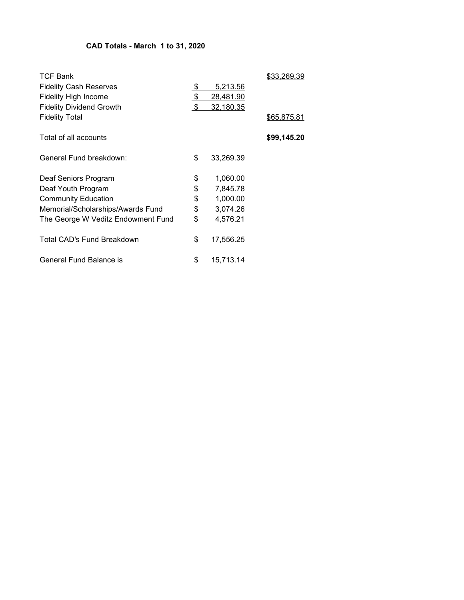# CAD Totals - March 1 to 31, 2020

| <b>TCF Bank</b>                    |                         |           | <u>\$33,269.39</u> |
|------------------------------------|-------------------------|-----------|--------------------|
| <b>Fidelity Cash Reserves</b>      | <u>\$</u>               | 5,213.56  |                    |
| <b>Fidelity High Income</b>        | $\mathfrak{L}$          | 28,481.90 |                    |
| <b>Fidelity Dividend Growth</b>    | $\sqrt[6]{\frac{1}{2}}$ | 32,180.35 |                    |
| <b>Fidelity Total</b>              |                         |           | \$65,875.81        |
| Total of all accounts              |                         |           | \$99,145.20        |
| General Fund breakdown:            | \$                      | 33,269.39 |                    |
| Deaf Seniors Program               | \$                      | 1,060.00  |                    |
| Deaf Youth Program                 | \$                      | 7,845.78  |                    |
| <b>Community Education</b>         | \$                      | 1,000.00  |                    |
| Memorial/Scholarships/Awards Fund  | \$                      | 3,074.26  |                    |
| The George W Veditz Endowment Fund | \$                      | 4,576.21  |                    |
| <b>Total CAD's Fund Breakdown</b>  | \$                      | 17,556.25 |                    |
| General Fund Balance is            | \$                      | 15,713.14 |                    |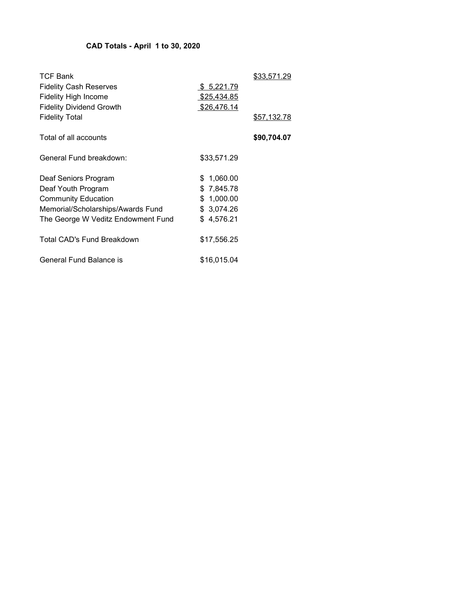# CAD Totals - April 1 to 30, 2020

| <b>TCF Bank</b><br><b>Fidelity Cash Reserves</b><br><b>Fidelity High Income</b><br><b>Fidelity Dividend Growth</b> | \$ 5,221.79<br>\$25,434.85<br>\$26,476.14 | <u>\$33,571.29</u> |
|--------------------------------------------------------------------------------------------------------------------|-------------------------------------------|--------------------|
| <b>Fidelity Total</b>                                                                                              |                                           | <u>\$57,132.78</u> |
| Total of all accounts                                                                                              |                                           | \$90,704.07        |
| General Fund breakdown:                                                                                            | \$33,571.29                               |                    |
| Deaf Seniors Program                                                                                               | \$1,060.00                                |                    |
| Deaf Youth Program                                                                                                 | \$7,845.78                                |                    |
| <b>Community Education</b>                                                                                         | \$1,000.00                                |                    |
| Memorial/Scholarships/Awards Fund                                                                                  | \$3,074.26                                |                    |
| The George W Veditz Endowment Fund                                                                                 | \$4,576.21                                |                    |
| Total CAD's Fund Breakdown                                                                                         | \$17,556.25                               |                    |
| General Fund Balance is                                                                                            | \$16,015.04                               |                    |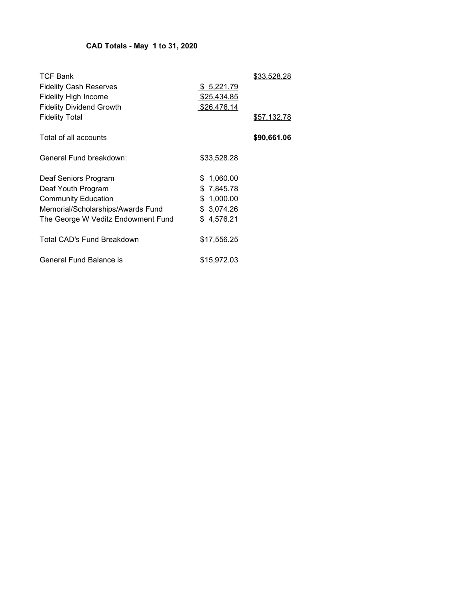# CAD Totals - May 1 to 31, 2020

| <b>TCF Bank</b><br><b>Fidelity Cash Reserves</b><br><b>Fidelity High Income</b> | \$ 5,221.79<br>\$25,434.85 | <u>\$33,528.28</u> |
|---------------------------------------------------------------------------------|----------------------------|--------------------|
| <b>Fidelity Dividend Growth</b><br><b>Fidelity Total</b>                        | \$26,476.14                | <u>\$57,132.78</u> |
| Total of all accounts                                                           |                            | \$90,661.06        |
| General Fund breakdown:                                                         | \$33,528.28                |                    |
| Deaf Seniors Program                                                            | \$1,060.00                 |                    |
| Deaf Youth Program                                                              | \$7,845.78                 |                    |
| <b>Community Education</b>                                                      | \$1,000.00                 |                    |
| Memorial/Scholarships/Awards Fund                                               | \$ 3,074.26                |                    |
| The George W Veditz Endowment Fund                                              | \$4,576.21                 |                    |
| Total CAD's Fund Breakdown                                                      | \$17,556.25                |                    |
| General Fund Balance is                                                         | \$15,972.03                |                    |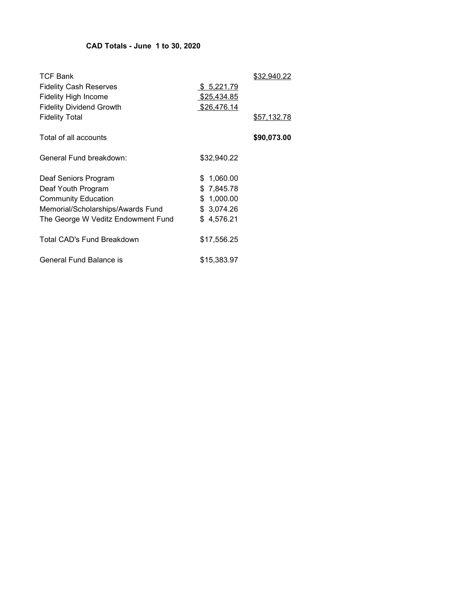## CAD Totals - June 1 to 30, 2020

| <b>TCF Bank</b><br><b>Fidelity Cash Reserves</b><br><b>Fidelity High Income</b> | <u>\$5,221.79</u><br>\$25,434.85 | \$32,940.22        |
|---------------------------------------------------------------------------------|----------------------------------|--------------------|
| <b>Fidelity Dividend Growth</b><br><b>Fidelity Total</b>                        | <u>\$26,476.14</u>               | <u>\$57,132.78</u> |
| Total of all accounts                                                           |                                  | \$90,073.00        |
| General Fund breakdown:                                                         | \$32,940.22                      |                    |
| Deaf Seniors Program                                                            | \$1,060.00                       |                    |
| Deaf Youth Program                                                              | \$7,845.78                       |                    |
| <b>Community Education</b>                                                      | \$1,000.00                       |                    |
| Memorial/Scholarships/Awards Fund                                               | \$3,074.26                       |                    |
| The George W Veditz Endowment Fund                                              | \$4,576.21                       |                    |
| Total CAD's Fund Breakdown                                                      | \$17,556.25                      |                    |
| General Fund Balance is                                                         | \$15,383.97                      |                    |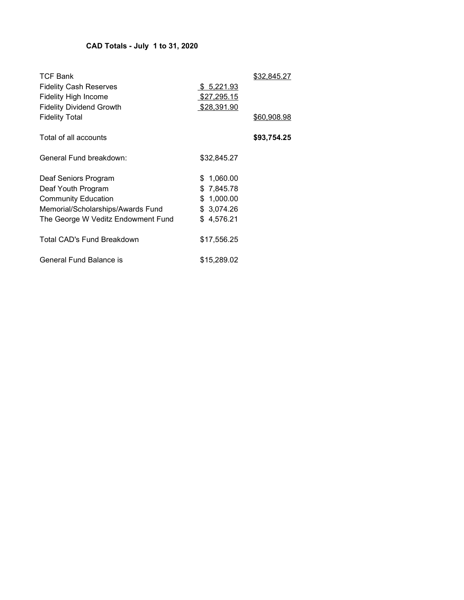# CAD Totals - July 1 to 31, 2020

| <b>TCF Bank</b><br><b>Fidelity Cash Reserves</b><br><b>Fidelity High Income</b> | <u>\$5,221.93</u><br>\$27,295.15 | \$32,845.27        |
|---------------------------------------------------------------------------------|----------------------------------|--------------------|
| <b>Fidelity Dividend Growth</b><br><b>Fidelity Total</b>                        | <u>\$28,391.90</u>               | <u>\$60,908.98</u> |
| Total of all accounts                                                           |                                  | \$93,754.25        |
| General Fund breakdown:                                                         | \$32,845.27                      |                    |
| Deaf Seniors Program                                                            | \$1,060.00                       |                    |
| Deaf Youth Program                                                              | \$7,845.78                       |                    |
| <b>Community Education</b>                                                      | \$1,000.00                       |                    |
| Memorial/Scholarships/Awards Fund                                               | \$3,074.26                       |                    |
| The George W Veditz Endowment Fund                                              | \$4,576.21                       |                    |
| Total CAD's Fund Breakdown                                                      | \$17,556.25                      |                    |
| General Fund Balance is                                                         | \$15,289.02                      |                    |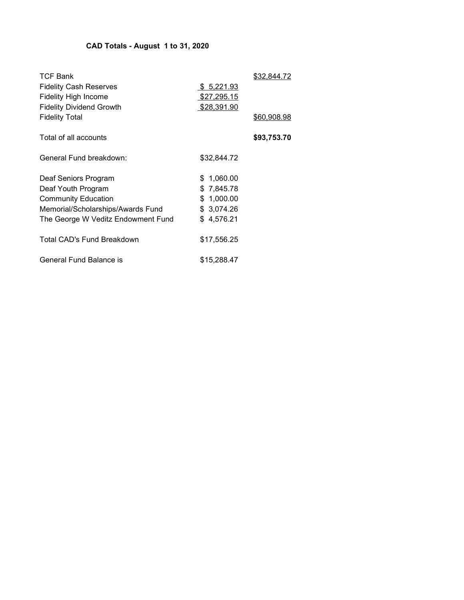# CAD Totals - August 1 to 31, 2020

| <b>TCF Bank</b><br><b>Fidelity Cash Reserves</b><br><b>Fidelity High Income</b><br><b>Fidelity Dividend Growth</b> | <u>\$5,221.93</u><br>\$27,295.15<br>\$28,391.90 | <u>\$32,844.72</u> |
|--------------------------------------------------------------------------------------------------------------------|-------------------------------------------------|--------------------|
| <b>Fidelity Total</b>                                                                                              |                                                 | \$60,908.98        |
| Total of all accounts                                                                                              |                                                 | \$93,753.70        |
| General Fund breakdown:                                                                                            | \$32,844.72                                     |                    |
| Deaf Seniors Program                                                                                               | \$1,060.00                                      |                    |
| Deaf Youth Program                                                                                                 | \$7,845.78                                      |                    |
| <b>Community Education</b>                                                                                         | \$1,000.00                                      |                    |
| Memorial/Scholarships/Awards Fund                                                                                  | \$ 3,074.26                                     |                    |
| The George W Veditz Endowment Fund                                                                                 | \$4,576.21                                      |                    |
| Total CAD's Fund Breakdown                                                                                         | \$17,556.25                                     |                    |
| General Fund Balance is                                                                                            | \$15,288.47                                     |                    |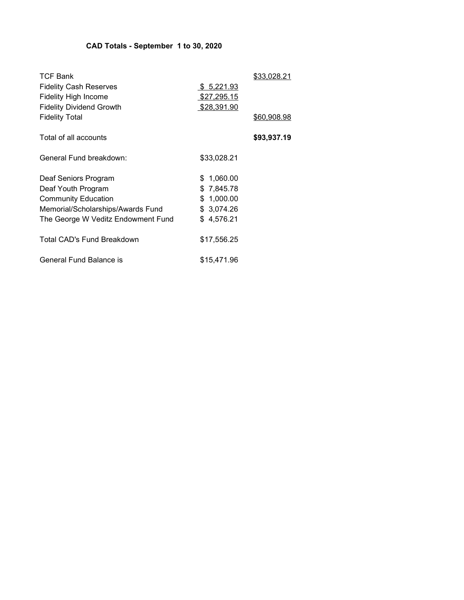# CAD Totals - September 1 to 30, 2020

| <b>TCF Bank</b><br><b>Fidelity Cash Reserves</b><br><b>Fidelity High Income</b> | <u>\$5,221.93</u><br>\$27,295.15 | \$33,028.21        |
|---------------------------------------------------------------------------------|----------------------------------|--------------------|
| <b>Fidelity Dividend Growth</b>                                                 | <u>\$28,391.90</u>               |                    |
| <b>Fidelity Total</b>                                                           |                                  | <u>\$60,908.98</u> |
| Total of all accounts                                                           |                                  | \$93,937.19        |
| General Fund breakdown:                                                         | \$33,028.21                      |                    |
| Deaf Seniors Program                                                            | \$1,060.00                       |                    |
| Deaf Youth Program                                                              | \$7,845.78                       |                    |
| <b>Community Education</b>                                                      | \$1,000.00                       |                    |
| Memorial/Scholarships/Awards Fund                                               | \$3,074.26                       |                    |
| The George W Veditz Endowment Fund                                              | \$4,576.21                       |                    |
| Total CAD's Fund Breakdown                                                      | \$17,556.25                      |                    |
| General Fund Balance is                                                         | \$15,471.96                      |                    |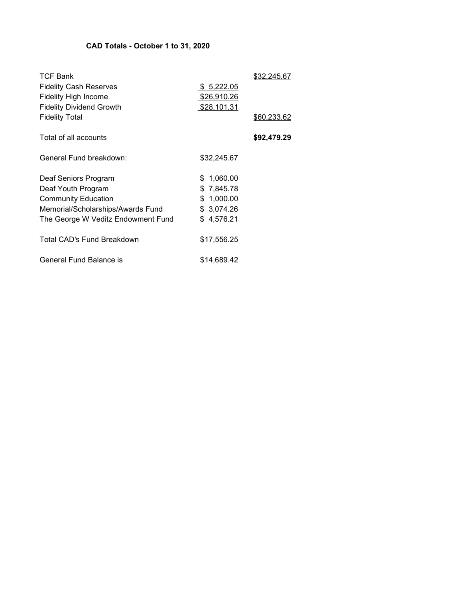### CAD Totals - October 1 to 31, 2020

| <b>TCF Bank</b><br><b>Fidelity Cash Reserves</b><br><b>Fidelity High Income</b><br><b>Fidelity Dividend Growth</b> | \$ 5,222.05<br>\$26,910.26<br><u>\$28,101.31</u> | \$32.245.67        |
|--------------------------------------------------------------------------------------------------------------------|--------------------------------------------------|--------------------|
| <b>Fidelity Total</b>                                                                                              |                                                  | <u>\$60,233.62</u> |
| Total of all accounts                                                                                              |                                                  | \$92,479.29        |
| General Fund breakdown:                                                                                            | \$32,245.67                                      |                    |
| Deaf Seniors Program                                                                                               | \$1,060.00                                       |                    |
| Deaf Youth Program                                                                                                 | \$7,845.78                                       |                    |
| <b>Community Education</b>                                                                                         | \$1,000.00                                       |                    |
| Memorial/Scholarships/Awards Fund                                                                                  | \$ 3,074.26                                      |                    |
| The George W Veditz Endowment Fund                                                                                 | \$4,576.21                                       |                    |
| Total CAD's Fund Breakdown                                                                                         | \$17,556.25                                      |                    |
| General Fund Balance is                                                                                            | \$14.689.42                                      |                    |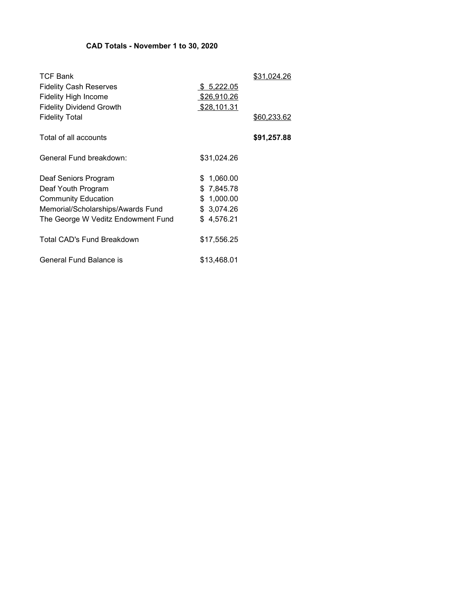# CAD Totals - November 1 to 30, 2020

| <b>TCF Bank</b><br><b>Fidelity Cash Reserves</b><br><b>Fidelity High Income</b> | \$ 5,222.05<br>\$26,910.26 | \$31.024.26 |
|---------------------------------------------------------------------------------|----------------------------|-------------|
| <b>Fidelity Dividend Growth</b><br><b>Fidelity Total</b>                        | \$28,101.31                | \$60,233.62 |
| Total of all accounts                                                           |                            | \$91,257.88 |
| General Fund breakdown:                                                         | \$31,024.26                |             |
| Deaf Seniors Program<br>Deaf Youth Program                                      | \$1,060.00<br>\$7,845.78   |             |
| <b>Community Education</b>                                                      | \$1,000.00                 |             |
| Memorial/Scholarships/Awards Fund                                               | \$3,074.26                 |             |
| The George W Veditz Endowment Fund                                              | \$4,576.21                 |             |
| Total CAD's Fund Breakdown                                                      | \$17,556.25                |             |
| General Fund Balance is                                                         | \$13,468.01                |             |